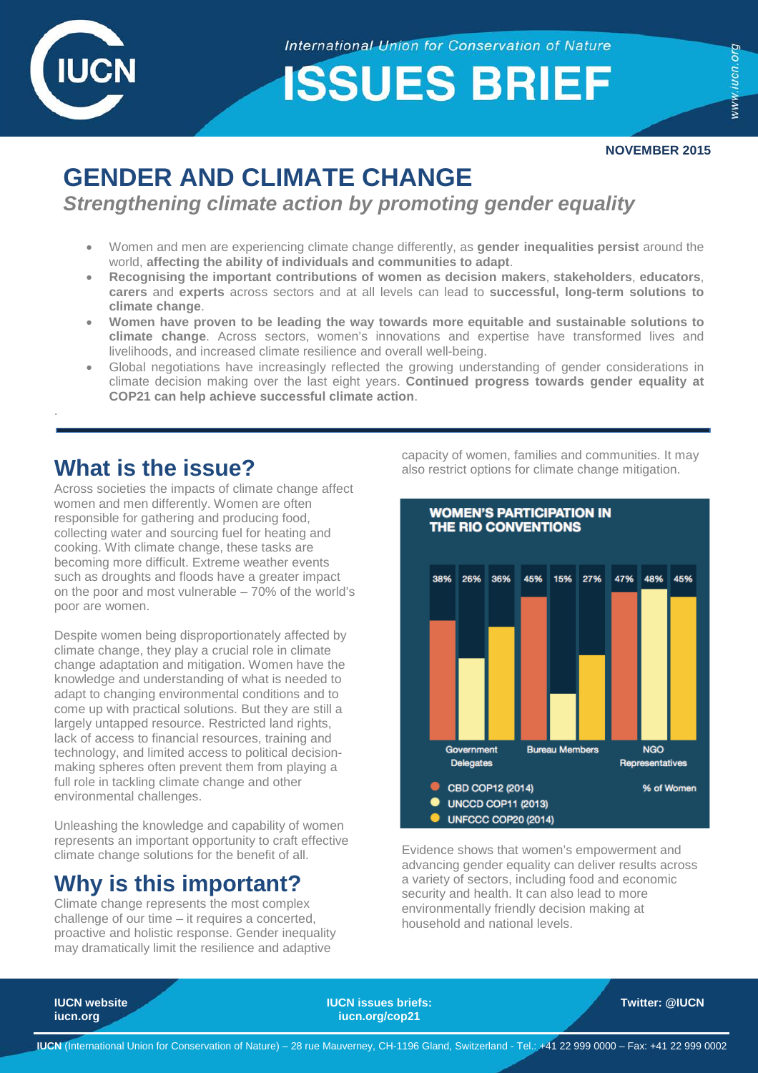

.

**International Union for Conservation of Nature** 

**ISSUES BRIEF** 

**NOVEMBER 2015**

# **GENDER AND CLIMATE CHANGE**

*Strengthening climate action by promoting gender equality* 

- Women and men are experiencing climate change differently, as **gender inequalities persist** around the world, **affecting the ability of individuals and communities to adapt**.
- **Recognising the important contributions of women as decision makers**, **stakeholders**, **educators**, **carers** and **experts** across sectors and at all levels can lead to **successful, long-term solutions to climate change**.
- **Women have proven to be leading the way towards more equitable and sustainable solutions to climate change**. Across sectors, women's innovations and expertise have transformed lives and livelihoods, and increased climate resilience and overall well-being.
- Global negotiations have increasingly reflected the growing understanding of gender considerations in climate decision making over the last eight years. **Continued progress towards gender equality at COP21 can help achieve successful climate action**.

## **What is the issue?**

Across societies the impacts of climate change affect women and men differently. Women are often responsible for gathering and producing food, collecting water and sourcing fuel for heating and cooking. With climate change, these tasks are becoming more difficult. Extreme weather events such as droughts and floods have a greater impact on the poor and most vulnerable – 70% of the world's poor are women.

Despite women being disproportionately affected by climate change, they play a crucial role in climate change adaptation and mitigation. Women have the knowledge and understanding of what is needed to adapt to changing environmental conditions and to come up with practical solutions. But they are still a largely untapped resource. Restricted land rights, lack of access to financial resources, training and technology, and limited access to political decisionmaking spheres often prevent them from playing a full role in tackling climate change and other environmental challenges.

Unleashing the knowledge and capability of women represents an important opportunity to craft effective climate change solutions for the benefit of all.

## **Why is this important?**

Climate change represents the most complex challenge of our time – it requires a concerted, proactive and holistic response. Gender inequality may dramatically limit the resilience and adaptive

capacity of women, families and communities. It may also restrict options for climate change mitigation.



Evidence shows that women's empowerment and advancing gender equality can deliver results across a variety of sectors, including food and economic security and health. It can also lead to more environmentally friendly decision making at household and national levels.

**IUCN website IUCN issues briefs: Twitter: [@IUCN](https://twitter.com/iucn)** [iucn.org](http://www.iucn.org/)/cop21